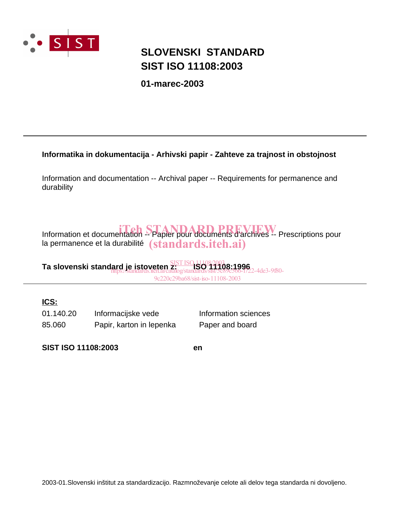

### **SIST ISO 11108:2003 SLOVENSKI STANDARD**

**01-marec-2003**

### **Informatika in dokumentacija - Arhivski papir - Zahteve za trajnost in obstojnost**

Information and documentation -- Archival paper -- Requirements for permanence and durability

Information et documentation -- Papier pour documents d'archivés -- Prescriptions pour la permanence et la durabilité  $\qquad\bf (standards.iteh. ai)$ 

**Ta slovenski standard je istoveten z: ISO 11108:1996** SIST ISO 11108:2003 https://standards.iteh.ai/catalog/standards/sist/5c89c566-f722-4de3-9f80- 9c220c29ba68/sist-iso-11108-2003

### **ICS:**

85.060 Papir, karton in lepenka Paper and board 01.140.20 Informacijske vede Information sciences

**SIST ISO 11108:2003 en**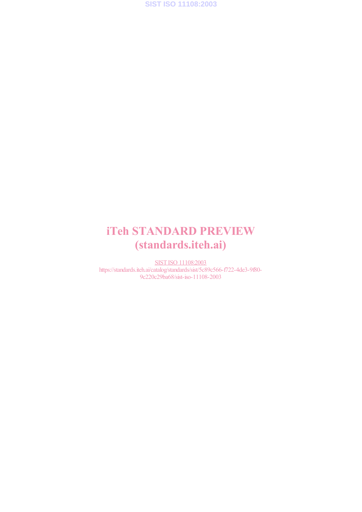**SIST ISO 11108:2003**

## iTeh STANDARD PREVIEW (standards.iteh.ai)

SIST ISO 11108:2003 https://standards.iteh.ai/catalog/standards/sist/5c89c566-f722-4de3-9f80- 9c220c29ba68/sist-iso-11108-2003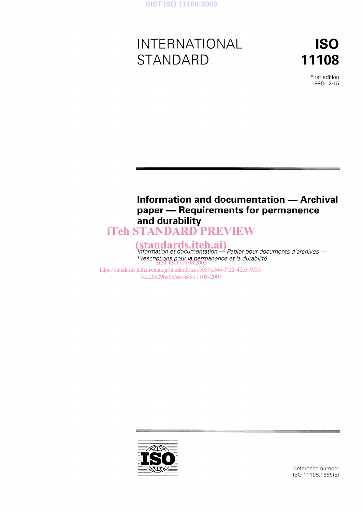# INTERNATIONAL STANDARD

ISO 11108

> First edition 1996-12-15

### Information and documentation - Archival paper - Requirements for permanence and durabilit

# iTeh STANDARD PREVIEW

(standards.iteh.ai)<br>Information et documentation - Papier pour documents d'archives -Prescriptions pour la permanence et la durabilite<br><u>SIST ISO 11108:2003</u>

https://standards.iteh.ai/catalog/standards/sist/5c89c566-f722-4de3-9f80- 9c220c29ba68/sist-iso-11108-2003



Reference number ISO 11108:1996(E)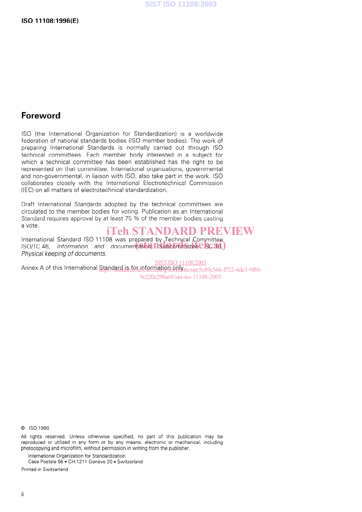### Foreword

ISO (the International Organization for Standardization) is a worldwide federation of national standards bodies (ISO member bodies). The work of preparing International Standards is normally carried out through ISO technical committees. Esch member body interested in a subject for which a technical committee has been established has the right to be represented on that committee. International organizations, governmental and non-governmental, in liaison with ISO, also take part in the work. ISO collaborates closely with the International Electrotechnical Commission (IEC) on all matters of electrotechnical standardization.

Draft International Standards adopted by the technical committees are circulated to the member bodies for voting. Publication as an International Standard requires approval by at least 75 % of the member bodies casting a vote.

### iTeh STANDARD PREVIEW

International Standard ISO 11108 was prepared by Technical Committee international Standard ISO ITTU8 was prepared by Technical Committee<br>ISO/TC 46, Information and documentatio**n, ITSubcommittee CSC 10**, Physical keeping of documents.

Annex A of this International Standard is for information and discussed and announced the 3-9f80-SIST ISO 11108:2003 9c220c29ba68/sist-iso-11108-2003

0 ISO 1996

All rights reserved. Unless otherwise specified, no part of this publication may be reproduced or utilized in any form or by any means, electronie or mechanical, including photocopying and microfilm, without permission in writing from the publisher.

International Organization for Standardization

Case Postale 56 · CH-1211 Genève 20 · Switzerland

Printed in Switzerland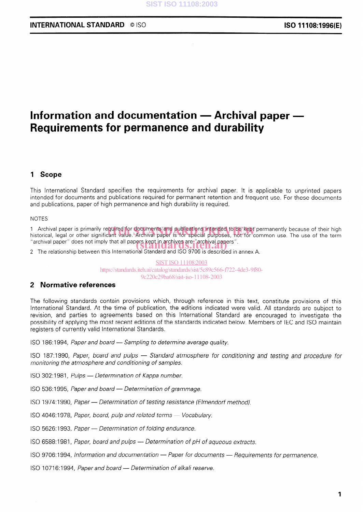### INTERNATIONAL STANDARD © ISO **ISO 11108:1996(E)**

### Information and documentation  $-$  Archival paper  $-$ Requirements for permanence and durability

### 1 Scope

This International Standard specifies the requirements for archival paper. It is applicable to unprinted papers intended for documents and publications required for permanent retention and frequent use. For these documents and publications, paper of high permanence and high durability is required.

NOTES

1 Archival paper is primarily required for documents and publications intended to be kept permanently because of their high<br>historical, legal or other significant value. Archival paper is for special purposes, not for co historical, legal or other significant value. Archival paper is for special purposes, not for common use. The use of the term "archival Paper" does not imply that all Papers kept in archives are "archival Papers". (standards.iteh.ai)

2 The relationship between this International Standard and ISO 9706 is described in annex A.

SIST ISO 11108:2003 https://standards.iteh.ai/catalog/standards/sist/5c89c566-f722-4de3-9f80- 9c220c29ba68/sist-iso-11108-2003

### 2 Normative references

The following standards contain provisions which, through reference in this text, constitute provisions of this International Standard. At the time of publication, the editions indicated were valid. All Standards are subject to revision, and parties to agreements based on this International Standard are encouraged to investigate the possibility of applying the most recent editions of the Standards indicated below. Members of IEC and ISO maintain registers of currently valid International Standards.

ISO 186:1994, Paper and board - Sampling to determine average quality.

ISO 187:1990, Paper, board and pulps - Standard atmosphere for conditioning and testing and procedure for monitoring the atmosphere and conditioning of samples.

ISO 302:1981, Pulps - Determination of Kappa number.

ISO 536:1995, Paper and board - Determination of grammage.

ISO 1974: 1990, Paper - Determination of testing resistance (Elmendorf method).

ISO 4046:1978, Paper, board, pulp and related terms - Vocabulary.

ISO 5626:1993, Paper - Determination of folding endurance.

 $ISO$  6588:1981, Paper, board and pulps  $-$  Determination of pH of aqueous extracts.

ISO 9706:1994, Information and documentation - Paper for documents - Requirements for permanence.

ISO 10716:1994, Paper and board - Determination of alkali reserve.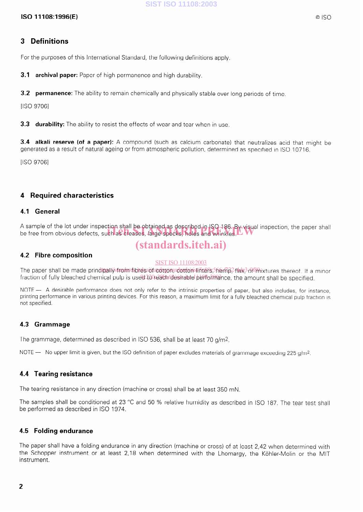### ISO 11108:1996(E)

### 3 Definitions

For the purposes of this International Standard, the following definitions apply.

**3.1 archival paper:** Paper of high permanence and high durability.

**3.2 permanence:** The ability to remain chemically and physically stable over long periods of time.

[ISO 97061

**3.3 durability:** The ability to resist the effects of wear and tear when in use.

3.4 alkali reserve (of a paper): A compound (such as calcium carbonate) that neutralizes acid that might be generated as a result of natural ageing or from atmospheric pollution, determined as specified in ISO 10716.

[ISO 9706]

### 4 Required characteristics

### 4.1 General

A sample of the lot under inspection shall be obtained as described in ISO 186. By visual inspection, the paper shall A sample of the lot under inspection shall be obtained as described in ISO 186. By visual ir<br>be free from obvious defects, such as creases, large specks, holes and wrinkles.

### (standards.iteh.ai)

### 4.2 Fibre composition

#### SIST ISO 11108:2003

The paper shall be made prindipally strom fibres id acottom rootton lifters, 5hemp, flax, 3d mix tures thereof. If a minor fraction of fully bleached chemical pulp is used to reath desirable performance, the amount shall be specified

NOTE -- A desirable performance does not only refer to the intrinsic properties of paper, but also includes, for instance, printing performance in various printing devices. For this reason, a maximum limit for a fully bleached chemical pulp fraction is not specified.

### 4.3 Grammage

The grammage, determined as described in ISO 536, shall be at least 70 g/m?

NOTE  $-$  No upper limit is given, but the ISO definition of paper excludes materials of grammage exceeding 225 g/m<sup>2</sup>.

### 4.4 Tearing resistance

The tearing resistance in any direction (machine or cross) shall be at least 350 mN.

The samples shall be conditioned at 23 °C and 50 % relative humidity as described in ISO 187. The tear test shall be performed as described in ISO 1974.

### 4.5 Folding endurance

The paper shall have a folding endurance in any direction (machine or cross) of at least 2,42 when determined with the Schopper instrument or at least 2,18 when determined with the Lhomargy, the Köhler-Molin or the MIT instrument.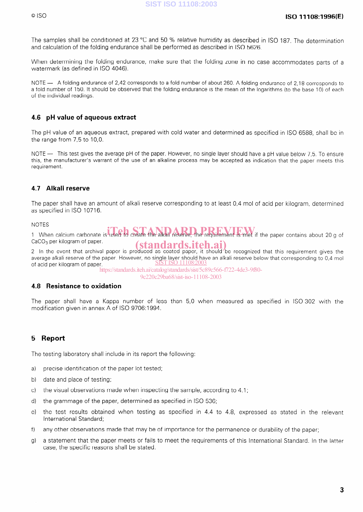The samples shall be conditioned at 23 °C and 50 % relative humidity as described in ISO 187. The determination and calculation of the folding endurance shall be performed as described in ISO 5626.

When determining the folding endurance, make sure that the folding zone in no case accommodates parts of a watermark (as defined in ISO 4046).

NOTE - A folding endurance of 2,42 corresponds to a fold number of about 260. A folding endurance of 2,18 corresponds to a fold number of 150. It should be observed that the folding endurance is the mean of the logarithms (to the base 10) of each of the individual readings.

### 4.6 pH value of aqueous extract

The pH value of an aqueous extract, prepared with cold water and determined as specified in ISO 6588, shall be in the range from 7,5 to 10,O.

NOTE - This test gives the average pH of the paper. However, no single layer should have a pH value below 7.5. To ensure this, the manufacturer's warrant of the use of an alkaline process may be accepted as indication that the paper meets this requirement.

### 4.7 Alkali reserve

The paper shall have an amount of alkali reserve corresponding to at least 0,4 mol of acid per kilogram, determined as specified in ISO 10716.

#### NOTES

In United States were carbonate is used to create the alkali reserve, the requirement is met if the paper contains about 20 g of CaCO<sub>2</sub> per kilogram of paper. CaCO<sub>3</sub> per kilogram of paper.<br>2 In the event that archival paper is produced as coated paper, it should be recognized that this requirement gives the

average alkali reserve of the paper. However, no single layer should have an alkali reserve below that corresponding to 0,4 mol of acid per kilogram of paper. <u>SIST ISO 11108</u>

https://standards.iteh.ai/catalog/standards/sist/5c89c566-f722-4de3-9f80-

#### 9c220c29ba68/sist-iso-11108-2003

### 4.8 Resistance to Oxidation

The Paper shall have a Kappa number of less than 5,0 when measured as specified in ISO 302 with the modification given in annex A of ISO 9706:1994.

### 5 Report

The testing laboratory shall include in its report the following:

- a) precise identification of the paper lot tested;
- b) date and place of testing;
- c) the visual observations made when inspecting the Sample, according to 4.1;
- d) the grammage of the paper, determined as specified in ISO 536;
- e) the test results obtained when testing as specified in 4.4 to 4.8, expressed as stated in the relevant International Standard;
- f) any other observations made that may be of importance for the permanence or durability of the paper;
- g) a statement that the paper meets or fails to meet the requirements of this International Standard. In the latter case, the specific reasons shall be stated.